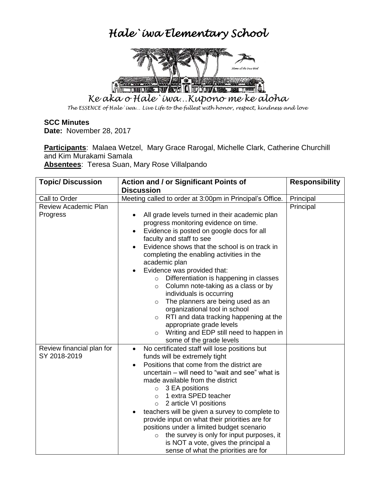## *Hale`iwa Elementary School*



*Ke aka o Hale`iwa…Kupono me ke aloha*

*The ESSENCE of Hale`iwa… Live Life to the fullest with honor, respect, kindness and love*

## **SCC Minutes**

**Date:** November 28, 2017

**Participants**: Malaea Wetzel, Mary Grace Rarogal, Michelle Clark, Catherine Churchill and Kim Murakami Samala

**Absentees**: Teresa Suan, Mary Rose Villalpando

| <b>Topic/ Discussion</b>    | Action and / or Significant Points of                                                            | <b>Responsibility</b> |
|-----------------------------|--------------------------------------------------------------------------------------------------|-----------------------|
|                             | <b>Discussion</b>                                                                                |                       |
| Call to Order               | Meeting called to order at 3:00pm in Principal's Office.                                         | Principal             |
| <b>Review Academic Plan</b> |                                                                                                  | Principal             |
| Progress                    | All grade levels turned in their academic plan                                                   |                       |
|                             | progress monitoring evidence on time.                                                            |                       |
|                             | Evidence is posted on google docs for all<br>$\bullet$                                           |                       |
|                             | faculty and staff to see                                                                         |                       |
|                             | Evidence shows that the school is on track in                                                    |                       |
|                             | completing the enabling activities in the                                                        |                       |
|                             | academic plan                                                                                    |                       |
|                             | Evidence was provided that:                                                                      |                       |
|                             | Differentiation is happening in classes<br>$\circ$                                               |                       |
|                             | Column note-taking as a class or by<br>$\circ$                                                   |                       |
|                             | individuals is occurring                                                                         |                       |
|                             | The planners are being used as an<br>$\circ$                                                     |                       |
|                             | organizational tool in school                                                                    |                       |
|                             | RTI and data tracking happening at the<br>$\circ$                                                |                       |
|                             | appropriate grade levels                                                                         |                       |
|                             | Writing and EDP still need to happen in<br>$\circ$                                               |                       |
|                             | some of the grade levels                                                                         |                       |
| Review financial plan for   | No certificated staff will lose positions but<br>$\bullet$                                       |                       |
| SY 2018-2019                | funds will be extremely tight                                                                    |                       |
|                             | Positions that come from the district are                                                        |                       |
|                             | uncertain – will need to "wait and see" what is                                                  |                       |
|                             | made available from the district                                                                 |                       |
|                             | $\circ$ 3 EA positions                                                                           |                       |
|                             | 1 extra SPED teacher<br>$\circ$                                                                  |                       |
|                             | 2 article VI positions<br>$\circ$                                                                |                       |
|                             | teachers will be given a survey to complete to<br>provide input on what their priorities are for |                       |
|                             | positions under a limited budget scenario                                                        |                       |
|                             | the survey is only for input purposes, it<br>$\circ$                                             |                       |
|                             | is NOT a vote, gives the principal a                                                             |                       |
|                             | sense of what the priorities are for                                                             |                       |